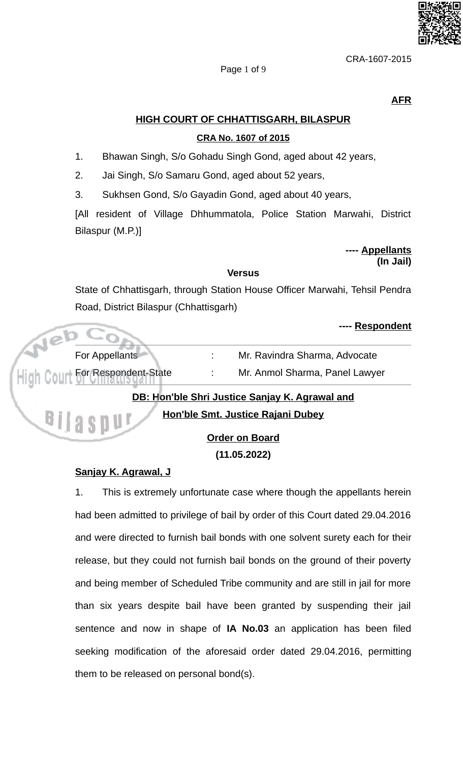

Page 1 of 9

**AFR** 

# **HIGH COURT OF CHHATTISGARH, BILASPUR**

## CRA No. 1607 of 2015

- 1. Bhawan Singh, S/o Gohadu Singh Gond, aged about 42 years,
- $2.$ Jai Singh, S/o Samaru Gond, aged about 52 years,
- Sukhsen Gond, S/o Gayadin Gond, aged about 40 years, 3.

[All resident of Village Dhhummatola, Police Station Marwahi, District Bilaspur (M.P.)]

#### ---- Appellants (In Jail)

### **Versus**

State of Chhattisgarh, through Station House Officer Marwahi, Tehsil Pendra Road, District Bilaspur (Chhattisgarh)

boonondont

|                                                                                                        |                                 |  | <b>ELECTED</b> FILE            |
|--------------------------------------------------------------------------------------------------------|---------------------------------|--|--------------------------------|
|                                                                                                        | For Appellants                  |  | Mr. Ravindra Sharma, Advocate  |
|                                                                                                        | High Court For Respondent-State |  | Mr. Anmol Sharma, Panel Lawyer |
| DB: Hon'ble Shri Justice Sanjay K. Agrawal and<br>Hon'ble Smt. Justice Rajani Dubey<br><b>QUIASDU!</b> |                                 |  |                                |
|                                                                                                        |                                 |  | <b>Order on Board</b>          |

 $(11.05.2022)$ 

# Sanjay K. Agrawal, J

This is extremely unfortunate case where though the appellants herein  $1.$ had been admitted to privilege of bail by order of this Court dated 29.04.2016 and were directed to furnish bail bonds with one solvent surety each for their release, but they could not furnish bail bonds on the ground of their poverty and being member of Scheduled Tribe community and are still in jail for more than six years despite bail have been granted by suspending their jail sentence and now in shape of IA No.03 an application has been filed seeking modification of the aforesaid order dated 29.04.2016, permitting them to be released on personal bond(s).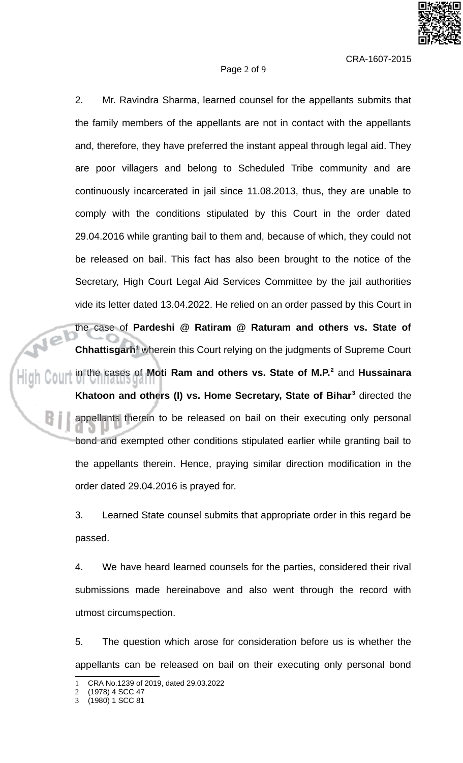$2.$ Mr. Ravindra Sharma, learned counsel for the appellants submits that the family members of the appellants are not in contact with the appellants and, therefore, they have preferred the instant appeal through legal aid. They are poor villagers and belong to Scheduled Tribe community and are continuously incarcerated in jail since 11.08.2013, thus, they are unable to comply with the conditions stipulated by this Court in the order dated 29.04.2016 while granting bail to them and, because of which, they could not be released on bail. This fact has also been brought to the notice of the Secretary, High Court Legal Aid Services Committee by the jail authorities vide its letter dated 13.04.2022. He relied on an order passed by this Court in the case of Pardeshi  $@$  Ratiram  $@$  Raturam and others vs. State of  $\mathbf{1}e^{\mathbf{i}}$ **Chhattisgarh**<sup>1</sup> wherein this Court relying on the judgments of Supreme Court in the cases of Moti Ram and others vs. State of M.P.<sup>2</sup> and Hussainara Khatoon and others (I) vs. Home Secretary, State of Bihar<sup>3</sup> directed the appellants therein to be released on bail on their executing only personal bond and exempted other conditions stipulated earlier while granting bail to the appellants therein. Hence, praying similar direction modification in the order dated 29.04.2016 is prayed for.

Page 2 of 9

3. Learned State counsel submits that appropriate order in this regard be passed.

 $\overline{4}$ . We have heard learned counsels for the parties, considered their rival submissions made hereinabove and also went through the record with utmost circumspection.

5. The question which arose for consideration before us is whether the appellants can be released on bail on their executing only personal bond

CRA No.1239 of 2019, dated 29.03.2022

<sup>(1978) 4</sup> SCC 47

<sup>(1980) 1</sup> SCC 81 3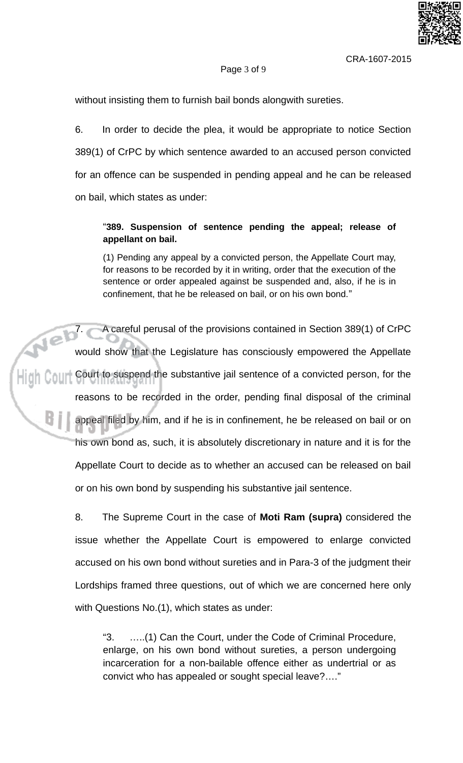# Page 3 of 9

without insisting them to furnish bail bonds along with sureties.

6. In order to decide the plea, it would be appropriate to notice Section 389(1) of CrPC by which sentence awarded to an accused person convicted for an offence can be suspended in pending appeal and he can be released on bail, which states as under:

# "389. Suspension of sentence pending the appeal; release of appellant on bail.

(1) Pending any appeal by a convicted person, the Appellate Court may, for reasons to be recorded by it in writing, order that the execution of the sentence or order appealed against be suspended and, also, if he is in confinement, that he be released on bail, or on his own bond."

Neb c A careful perusal of the provisions contained in Section 389(1) of CrPC would show that the Legislature has consciously empowered the Appellate  $\left\| \cdot \right\|$  (count  $\circ$  Court to suspend the substantive jail sentence of a convicted person, for the reasons to be recorded in the order, pending final disposal of the criminal appeal filed by him, and if he is in confinement, he be released on bail or on his own bond as, such, it is absolutely discretionary in nature and it is for the Appellate Court to decide as to whether an accused can be released on bail or on his own bond by suspending his substantive jail sentence.

> 8. The Supreme Court in the case of Moti Ram (supra) considered the issue whether the Appellate Court is empowered to enlarge convicted accused on his own bond without sureties and in Para-3 of the judgment their Lordships framed three questions, out of which we are concerned here only with Questions No.(1), which states as under:

"З. .....(1) Can the Court, under the Code of Criminal Procedure, enlarge, on his own bond without sureties, a person undergoing incarceration for a non-bailable offence either as undertrial or as convict who has appealed or sought special leave?...."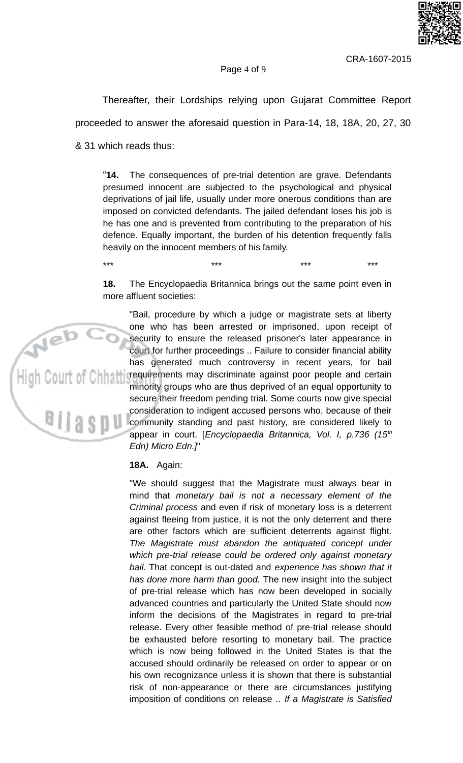

 $+ +$ 

#### Page 4 of 9

Thereafter, their Lordships relying upon Gujarat Committee Report proceeded to answer the aforesaid question in Para-14, 18, 18A, 20, 27, 30

& 31 which reads thus:

 $***$ 

 $"14.$ The consequences of pre-trial detention are grave. Defendants presumed innocent are subjected to the psychological and physical deprivations of jail life, usually under more onerous conditions than are imposed on convicted defendants. The jailed defendant loses his job is he has one and is prevented from contributing to the preparation of his defence. Equally important, the burden of his detention frequently falls heavily on the innocent members of his family.

The Encyclopaedia Britannica brings out the same point even in 18. more affluent societies:

 $+ +$ 

 $***$ 

"Bail, procedure by which a judge or magistrate sets at liberty one who has been arrested or imprisoned, upon receipt of security to ensure the released prisoner's later appearance in court for further proceedings .. Failure to consider financial ability has generated much controversy in recent years, for bail requirements may discriminate against poor people and certain minority groups who are thus deprived of an equal opportunity to secure their freedom pending trial. Some courts now give special consideration to indigent accused persons who, because of their community standing and past history, are considered likely to appear in court. [Encyclopaedia Britannica, Vol. I, p.736 (15<sup>th</sup>) Edn) Micro Edn.]"

#### 18A. Again:

"We should suggest that the Magistrate must always bear in mind that monetary bail is not a necessary element of the Criminal process and even if risk of monetary loss is a deterrent against fleeing from justice, it is not the only deterrent and there are other factors which are sufficient deterrents against flight. The Magistrate must abandon the antiquated concept under which pre-trial release could be ordered only against monetary bail. That concept is out-dated and experience has shown that it has done more harm than good. The new insight into the subject of pre-trial release which has now been developed in socially advanced countries and particularly the United State should now inform the decisions of the Magistrates in regard to pre-trial release. Every other feasible method of pre-trial release should be exhausted before resorting to monetary bail. The practice which is now being followed in the United States is that the accused should ordinarily be released on order to appear or on his own recognizance unless it is shown that there is substantial risk of non-appearance or there are circumstances justifying imposition of conditions on release .. If a Magistrate is Satisfied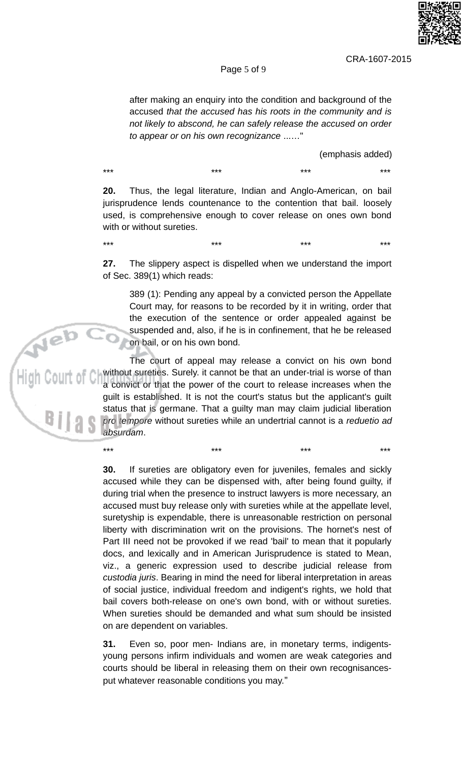

 $***$ 

 $***$ 

#### Page 5 of 9

after making an enquiry into the condition and background of the accused that the accused has his roots in the community and is not likely to abscond, he can safely release the accused on order to appear or on his own recognizance ......"

(emphasis added)

 $***$  $***$  $***$ 

\*\*\*

 $***$ 

Thus, the legal literature, Indian and Anglo-American, on bail  $20.$ jurisprudence lends countenance to the contention that bail. loosely used, is comprehensive enough to cover release on ones own bond with or without sureties.

 $27.$ The slippery aspect is dispelled when we understand the import of Sec. 389(1) which reads:

389 (1): Pending any appeal by a convicted person the Appellate Court may, for reasons to be recorded by it in writing, order that the execution of the sentence or order appealed against be suspended and, also, if he is in confinement, that he be released on bail, or on his own bond.

 $+ +$ 

The court of appeal may release a convict on his own bond without sureties. Surely. it cannot be that an under-trial is worse of than a convict or that the power of the court to release increases when the guilt is established. It is not the court's status but the applicant's guilt status that is germane. That a guilty man may claim judicial liberation pro tempore without sureties while an undertrial cannot is a reduetio ad absurdam.

 $***$ 

If sureties are obligatory even for juveniles, females and sickly 30. accused while they can be dispensed with, after being found guilty, if during trial when the presence to instruct lawyers is more necessary, an accused must buy release only with sureties while at the appellate level, suretyship is expendable, there is unreasonable restriction on personal liberty with discrimination writ on the provisions. The hornet's nest of Part III need not be provoked if we read 'bail' to mean that it popularly docs, and lexically and in American Jurisprudence is stated to Mean, viz., a generic expression used to describe judicial release from custodia juris. Bearing in mind the need for liberal interpretation in areas of social justice, individual freedom and indigent's rights, we hold that bail covers both-release on one's own bond, with or without sureties. When sureties should be demanded and what sum should be insisted on are dependent on variables.

Even so, poor men- Indians are, in monetary terms, indigents-31. young persons infirm individuals and women are weak categories and courts should be liberal in releasing them on their own recognisancesput whatever reasonable conditions you may."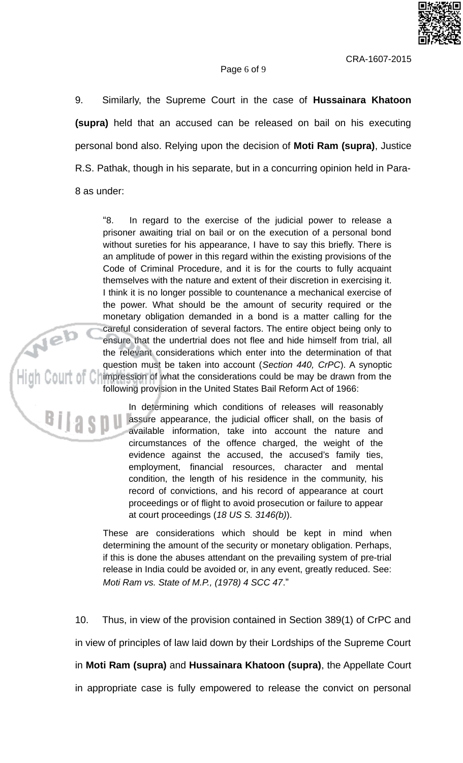

#### Page 6 of 9

9. Similarly, the Supreme Court in the case of Hussainara Khatoon (supra) held that an accused can be released on bail on his executing personal bond also. Relying upon the decision of Moti Ram (supra), Justice R.S. Pathak, though in his separate, but in a concurring opinion held in Para-8 as under:

"8. In regard to the exercise of the judicial power to release a prisoner awaiting trial on bail or on the execution of a personal bond without sureties for his appearance, I have to say this briefly. There is an amplitude of power in this regard within the existing provisions of the Code of Criminal Procedure, and it is for the courts to fully acquaint themselves with the nature and extent of their discretion in exercising it. I think it is no longer possible to countenance a mechanical exercise of the power. What should be the amount of security required or the monetary obligation demanded in a bond is a matter calling for the careful consideration of several factors. The entire object being only to<br>ensure that the undertrial does not flee and hide himself from trial, all<br>the relevant considerations which enter into the determination of that<br>que following provision in the United States Bail Reform Act of 1966:

In determining which conditions of releases will reasonably assure appearance, the judicial officer shall, on the basis of available information, take into account the nature and circumstances of the offence charged, the weight of the evidence against the accused, the accused's family ties, employment, financial resources, character and mental condition, the length of his residence in the community, his record of convictions, and his record of appearance at court proceedings or of flight to avoid prosecution or failure to appear at court proceedings (18 US S. 3146(b)).

> These are considerations which should be kept in mind when determining the amount of the security or monetary obligation. Perhaps, if this is done the abuses attendant on the prevailing system of pre-trial release in India could be avoided or, in any event, greatly reduced. See: Moti Ram vs. State of M.P., (1978) 4 SCC 47."

 $10.$ Thus, in view of the provision contained in Section 389(1) of CrPC and in view of principles of law laid down by their Lordships of the Supreme Court in Moti Ram (supra) and Hussainara Khatoon (supra), the Appellate Court in appropriate case is fully empowered to release the convict on personal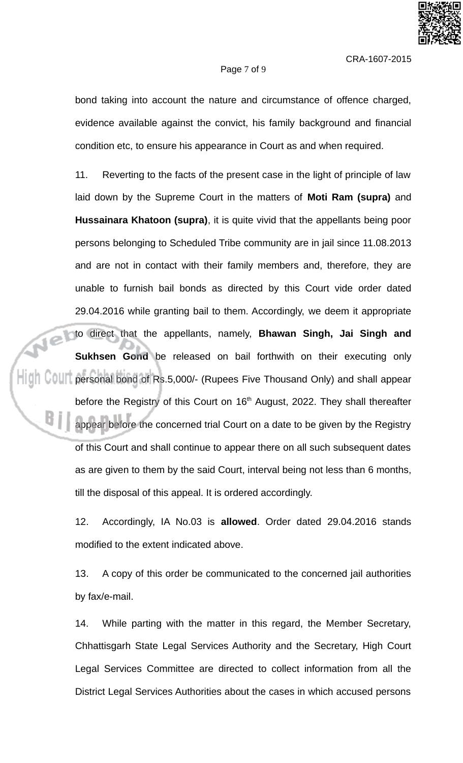

#### Page 7 of 9

bond taking into account the nature and circumstance of offence charged, evidence available against the convict, his family background and financial condition etc, to ensure his appearance in Court as and when required.

11. Reverting to the facts of the present case in the light of principle of law laid down by the Supreme Court in the matters of Moti Ram (supra) and Hussainara Khatoon (supra), it is quite vivid that the appellants being poor persons belonging to Scheduled Tribe community are in jail since 11.08.2013 and are not in contact with their family members and, therefore, they are unable to furnish bail bonds as directed by this Court vide order dated 29.04.2016 while granting bail to them. Accordingly, we deem it appropriate to direct that the appellants, namely, Bhawan Singh, Jai Singh and Sukhsen Gond be released on bail forthwith on their executing only **COLL personal bond of Rs.5,000/- (Rupees Five Thousand Only) and shall appear** before the Registry of this Court on 16<sup>th</sup> August, 2022. They shall thereafter appear before the concerned trial Court on a date to be given by the Registry of this Court and shall continue to appear there on all such subsequent dates as are given to them by the said Court, interval being not less than 6 months, till the disposal of this appeal. It is ordered accordingly.

> 12. Accordingly, IA No.03 is allowed. Order dated 29.04.2016 stands modified to the extent indicated above.

> 13. A copy of this order be communicated to the concerned jail authorities by fax/e-mail.

> 14. While parting with the matter in this regard, the Member Secretary, Chhattisgarh State Legal Services Authority and the Secretary, High Court Legal Services Committee are directed to collect information from all the District Legal Services Authorities about the cases in which accused persons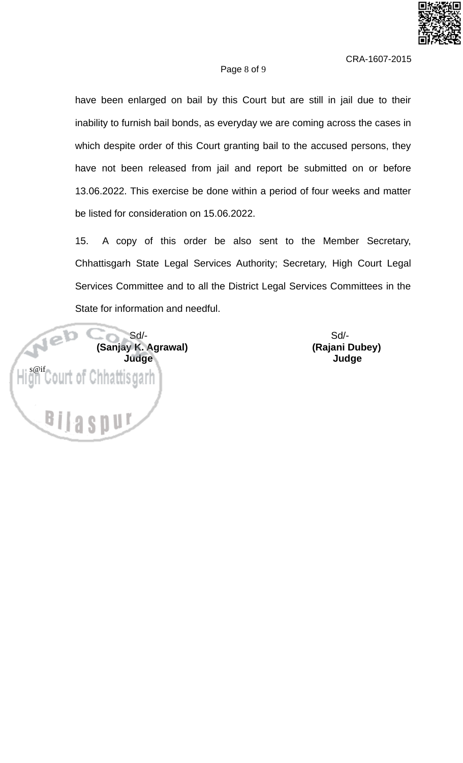

#### Page 8 of 9

have been enlarged on bail by this Court but are still in jail due to their inability to furnish bail bonds, as everyday we are coming across the cases in which despite order of this Court granting bail to the accused persons, they have not been released from jail and report be submitted on or before 13.06.2022. This exercise be done within a period of four weeks and matter be listed for consideration on 15.06.2022.

15. A copy of this order be also sent to the Member Secretary, Chhattisgarh State Legal Services Authority; Secretary, High Court Legal Services Committee and to all the District Legal Services Committees in the State for information and needful.



 $Sd$ -(Rajani Dubey) **Judge**